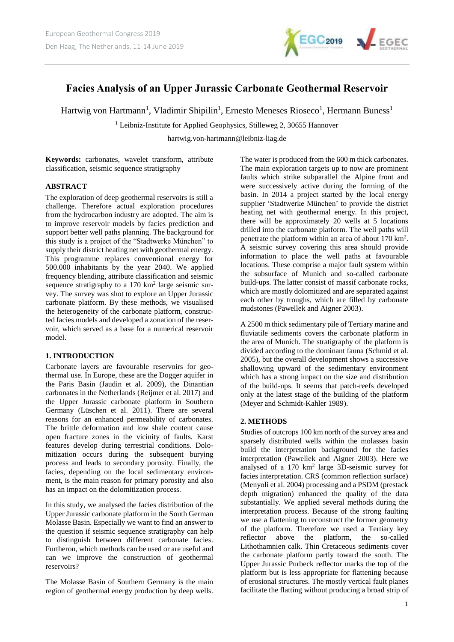

# **Facies Analysis of an Upper Jurassic Carbonate Geothermal Reservoir**

Hartwig von Hartmann<sup>1</sup>, Vladimir Shipilin<sup>1</sup>, Ernesto Meneses Rioseco<sup>1</sup>, Hermann Buness<sup>1</sup>

<sup>1</sup> Leibniz-Institute for Applied Geophysics, Stilleweg 2, 30655 Hannover

hartwig.von-hartmann@leibniz-liag.de

**Keywords:** carbonates, wavelet transform, attribute classification, seismic sequence stratigraphy

## **ABSTRACT**

The exploration of deep geothermal reservoirs is still a challenge. Therefore actual exploration procedures from the hydrocarbon industry are adopted. The aim is to improve reservoir models by facies prediction and support better well paths planning. The background for this study is a project of the "Stadtwerke München" to supply their district heating net with geothermal energy. This programme replaces conventional energy for 500.000 inhabitants by the year 2040. We applied frequency blending, attribute classification and seismic sequence stratigraphy to a  $170 \text{ km}^2$  large seismic survey. The survey was shot to explore an Upper Jurassic carbonate platform. By these methods, we visualised the heterogeneity of the carbonate platform, constructed facies models and developed a zonation of the reservoir, which served as a base for a numerical reservoir model.

## **1. INTRODUCTION**

Carbonate layers are favourable reservoirs for geothermal use. In Europe, these are the Dogger aquifer in the Paris Basin (Jaudin et al. 2009), the Dinantian carbonates in the Netherlands (Reijmer et al. 2017) and the Upper Jurassic carbonate platform in Southern Germany (Lüschen et al. 2011). There are several reasons for an enhanced permeability of carbonates. The brittle deformation and low shale content cause open fracture zones in the vicinity of faults. Karst features develop during terrestrial conditions. Dolomitization occurs during the subsequent burying process and leads to secondary porosity. Finally, the facies, depending on the local sedimentary environment, is the main reason for primary porosity and also has an impact on the dolomitization process.

In this study, we analysed the facies distribution of the Upper Jurassic carbonate platform in the South German Molasse Basin. Especially we want to find an answer to the question if seismic sequence stratigraphy can help to distinguish between different carbonate facies. Furtheron, which methods can be used or are useful and can we improve the construction of geothermal reservoirs?

The Molasse Basin of Southern Germany is the main region of geothermal energy production by deep wells. The water is produced from the 600 m thick carbonates. The main exploration targets up to now are prominent faults which strike subparallel the Alpine front and were successively active during the forming of the basin. In 2014 a project started by the local energy supplier 'Stadtwerke München' to provide the district heating net with geothermal energy. In this project, there will be approximately 20 wells at 5 locations drilled into the carbonate platform. The well paths will penetrate the platform within an area of about 170 km<sup>2</sup> . A seismic survey covering this area should provide information to place the well paths at favourable locations. These comprise a major fault system within the subsurface of Munich and so-called carbonate build-ups. The latter consist of massif carbonate rocks, which are mostly dolomitized and are separated against each other by troughs, which are filled by carbonate mudstones (Pawellek and Aigner 2003).

A 2500 m thick sedimentary pile of Tertiary marine and fluviatile sediments covers the carbonate platform in the area of Munich. The stratigraphy of the platform is divided according to the dominant fauna (Schmid et al. 2005), but the overall development shows a successive shallowing upward of the sedimentary environment which has a strong impact on the size and distribution of the build-ups. It seems that patch-reefs developed only at the latest stage of the building of the platform (Meyer and Schmidt-Kahler 1989).

# **2. METHODS**

Studies of outcrops 100 km north of the survey area and sparsely distributed wells within the molasses basin build the interpretation background for the facies interpretation (Pawellek and Aigner 2003). Here we analysed of a 170 km<sup>2</sup> large 3D-seismic survey for facies interpretation. CRS (common reflection surface) (Menyoli et al. 2004) processing and a PSDM (prestack depth migration) enhanced the quality of the data substantially. We applied several methods during the interpretation process. Because of the strong faulting we use a flattening to reconstruct the former geometry of the platform. Therefore we used a Tertiary key reflector above the platform, the so-called Lithothamnien calk. Thin Cretaceous sediments cover the carbonate platform partly toward the south. The Upper Jurassic Purbeck reflector marks the top of the platform but is less appropriate for flattening because of erosional structures. The mostly vertical fault planes facilitate the flatting without producing a broad strip of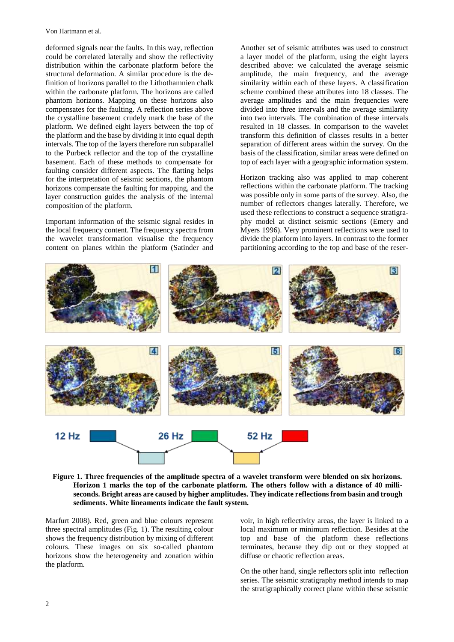Von Hartmann et al.

deformed signals near the faults. In this way, reflection could be correlated laterally and show the reflectivity distribution within the carbonate platform before the structural deformation. A similar procedure is the definition of horizons parallel to the Lithothamnien chalk within the carbonate platform. The horizons are called phantom horizons. Mapping on these horizons also compensates for the faulting. A reflection series above the crystalline basement crudely mark the base of the platform. We defined eight layers between the top of the platform and the base by dividing it into equal depth intervals. The top of the layers therefore run subparallel to the Purbeck reflector and the top of the crystalline basement. Each of these methods to compensate for faulting consider different aspects. The flatting helps for the interpretation of seismic sections, the phantom horizons compensate the faulting for mapping, and the layer construction guides the analysis of the internal composition of the platform.

Important information of the seismic signal resides in the local frequency content. The frequency spectra from the wavelet transformation visualise the frequency content on planes within the platform (Satinder and

Another set of seismic attributes was used to construct a layer model of the platform, using the eight layers described above: we calculated the average seismic amplitude, the main frequency, and the average similarity within each of these layers. A classification scheme combined these attributes into 18 classes. The average amplitudes and the main frequencies were divided into three intervals and the average similarity into two intervals. The combination of these intervals resulted in 18 classes. In comparison to the wavelet transform this definition of classes results in a better separation of different areas within the survey. On the basis of the classification, similar areas were defined on top of each layer with a geographic information system.

Horizon tracking also was applied to map coherent reflections within the carbonate platform. The tracking was possible only in some parts of the survey. Also, the number of reflectors changes laterally. Therefore, we used these reflections to construct a sequence stratigraphy model at distinct seismic sections (Emery and Myers 1996). Very prominent reflections were used to divide the platform into layers. In contrast to the former partitioning according to the top and base of the reser-



**Figure 1. Three frequencies of the amplitude spectra of a wavelet transform were blended on six horizons. Horizon 1 marks the top of the carbonate platform. The others follow with a distance of 40 milliseconds. Bright areas are caused by higher amplitudes. They indicate reflections from basin and trough sediments. White lineaments indicate the fault system.**

Marfurt 2008). Red, green and blue colours represent three spectral amplitudes (Fig. 1). The resulting colour shows the frequency distribution by mixing of different colours. These images on six so-called phantom horizons show the heterogeneity and zonation within the platform.

voir, in high reflectivity areas, the layer is linked to a local maximum or minimum reflection. Besides at the top and base of the platform these reflections terminates, because they dip out or they stopped at diffuse or chaotic reflection areas.

On the other hand, single reflectors split into reflection series. The seismic stratigraphy method intends to map the stratigraphically correct plane within these seismic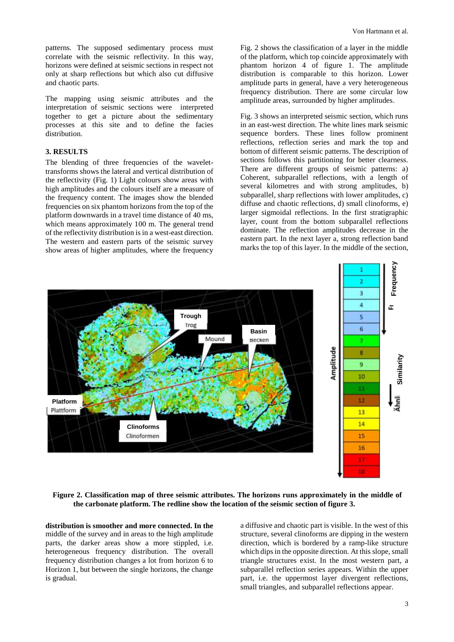patterns. The supposed sedimentary process must correlate with the seismic reflectivity. In this way, horizons were defined at seismic sections in respect not only at sharp reflections but which also cut diffusive and chaotic parts.

The mapping using seismic attributes and the interpretation of seismic sections were interpreted together to get a picture about the sedimentary processes at this site and to define the facies distribution.

## **3. RESULTS**

The blending of three frequencies of the wavelettransforms shows the lateral and vertical distribution of the reflectivity (Fig. 1) Light colours show areas with high amplitudes and the colours itself are a measure of the frequency content. The images show the blended frequencies on six phantom horizons from the top of the platform downwards in a travel time distance of 40 ms, which means approximately 100 m. The general trend of the reflectivity distribution is in a west-east direction. The western and eastern parts of the seismic survey show areas of higher amplitudes, where the frequency

Fig. 2 shows the classification of a layer in the middle of the platform, which top coincide approximately with phantom horizon 4 of figure 1. The amplitude distribution is comparable to this horizon. Lower amplitude parts in general, have a very heterogeneous frequency distribution. There are some circular low amplitude areas, surrounded by higher amplitudes.

Fig. 3 shows an interpreted seismic section, which runs in an east-west direction. The white lines mark seismic sequence borders. These lines follow prominent reflections, reflection series and mark the top and bottom of different seismic patterns. The description of sections follows this partitioning for better clearness. There are different groups of seismic patterns: a) Coherent, subparallel reflections, with a length of several kilometres and with strong amplitudes, b) subparallel, sharp reflections with lower amplitudes, c) diffuse and chaotic reflections, d) small clinoforms, e) larger sigmoidal reflections. In the first stratigraphic layer, count from the bottom subparallel reflections dominate. The reflection amplitudes decrease in the eastern part. In the next layer a, strong reflection band marks the top of this layer. In the middle of the section,



**Figure 2. Classification map of three seismic attributes. The horizons runs approximately in the middle of the carbonate platform. The redline show the location of the seismic section of figure 3.** 

**distribution is smoother and more connected. In the** middle of the survey and in areas to the high amplitude parts, the darker areas show a more stippled, i.e. heterogeneous frequency distribution. The overall frequency distribution changes a lot from horizon 6 to Horizon 1, but between the single horizons, the change is gradual.

a diffusive and chaotic part is visible. In the west of this structure, several clinoforms are dipping in the western direction, which is bordered by a ramp-like structure which dips in the opposite direction. At this slope, small triangle structures exist. In the most western part, a subparallel reflection series appears. Within the upper part, i.e. the uppermost layer divergent reflections, small triangles, and subparallel reflections appear.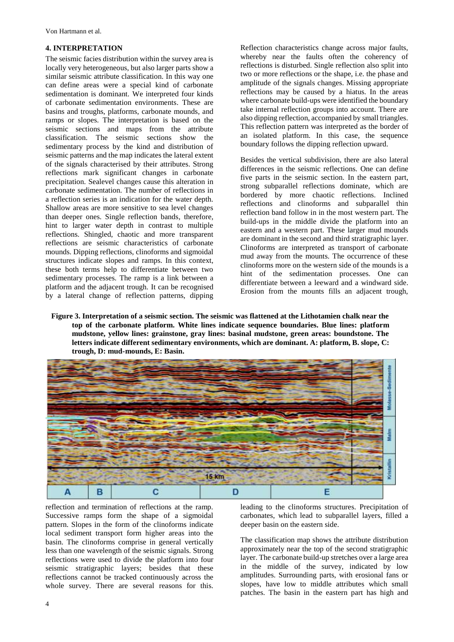Von Hartmann et al.

#### **4. INTERPRETATION**

The seismic facies distribution within the survey area is locally very heterogeneous, but also larger parts show a similar seismic attribute classification. In this way one can define areas were a special kind of carbonate sedimentation is dominant. We interpreted four kinds of carbonate sedimentation environments. These are basins and troughs, platforms, carbonate mounds, and ramps or slopes. The interpretation is based on the seismic sections and maps from the attribute classification. The seismic sections show the sedimentary process by the kind and distribution of seismic patterns and the map indicates the lateral extent of the signals characterised by their attributes. Strong reflections mark significant changes in carbonate precipitation. Sealevel changes cause this alteration in carbonate sedimentation. The number of reflections in a reflection series is an indication for the water depth. Shallow areas are more sensitive to sea level changes than deeper ones. Single reflection bands, therefore, hint to larger water depth in contrast to multiple reflections. Shingled, chaotic and more transparent reflections are seismic characteristics of carbonate mounds. Dipping reflections, clinoforms and sigmoidal structures indicate slopes and ramps. In this context, these both terms help to differentiate between two sedimentary processes. The ramp is a link between a platform and the adjacent trough. It can be recognised by a lateral change of reflection patterns, dipping

Reflection characteristics change across major faults, whereby near the faults often the coherency of reflections is disturbed. Single reflection also split into two or more reflections or the shape, i.e. the phase and amplitude of the signals changes. Missing appropriate reflections may be caused by a hiatus. In the areas where carbonate build-ups were identified the boundary take internal reflection groups into account. There are also dipping reflection, accompanied by small triangles. This reflection pattern was interpreted as the border of an isolated platform. In this case, the sequence boundary follows the dipping reflection upward.

Besides the vertical subdivision, there are also lateral differences in the seismic reflections. One can define five parts in the seismic section. In the eastern part, strong subparallel reflections dominate, which are bordered by more chaotic reflections. Inclined reflections and clinoforms and subparallel thin reflection band follow in in the most western part. The build-ups in the middle divide the platform into an eastern and a western part. These larger mud mounds are dominant in the second and third stratigraphic layer. Clinoforms are interpreted as transport of carbonate mud away from the mounts. The occurrence of these clinoforms more on the western side of the mounds is a hint of the sedimentation processes. One can differentiate between a leeward and a windward side. Erosion from the mounts fills an adjacent trough,

**Figure 3. Interpretation of a seismic section. The seismic was flattened at the Lithotamien chalk near the top of the carbonate platform. White lines indicate sequence boundaries. Blue lines: platform mudstone, yellow lines: grainstone, gray lines: basinal mudstone, green areas: boundstone. The letters indicate different sedimentary environments, which are dominant. A: platform, B. slope, C: trough, D: mud-mounds, E: Basin.**



reflection and termination of reflections at the ramp. Successive ramps form the shape of a sigmoidal pattern. Slopes in the form of the clinoforms indicate local sediment transport form higher areas into the basin. The clinoforms comprise in general vertically less than one wavelength of the seismic signals. Strong reflections were used to divide the platform into four seismic stratigraphic layers; besides that these reflections cannot be tracked continuously across the whole survey. There are several reasons for this.

leading to the clinoforms structures. Precipitation of carbonates, which lead to subparallel layers, filled a deeper basin on the eastern side.

The classification map shows the attribute distribution approximately near the top of the second stratigraphic layer. The carbonate build-up stretches over a large area in the middle of the survey, indicated by low amplitudes. Surrounding parts, with erosional fans or slopes, have low to middle attributes which small patches. The basin in the eastern part has high and